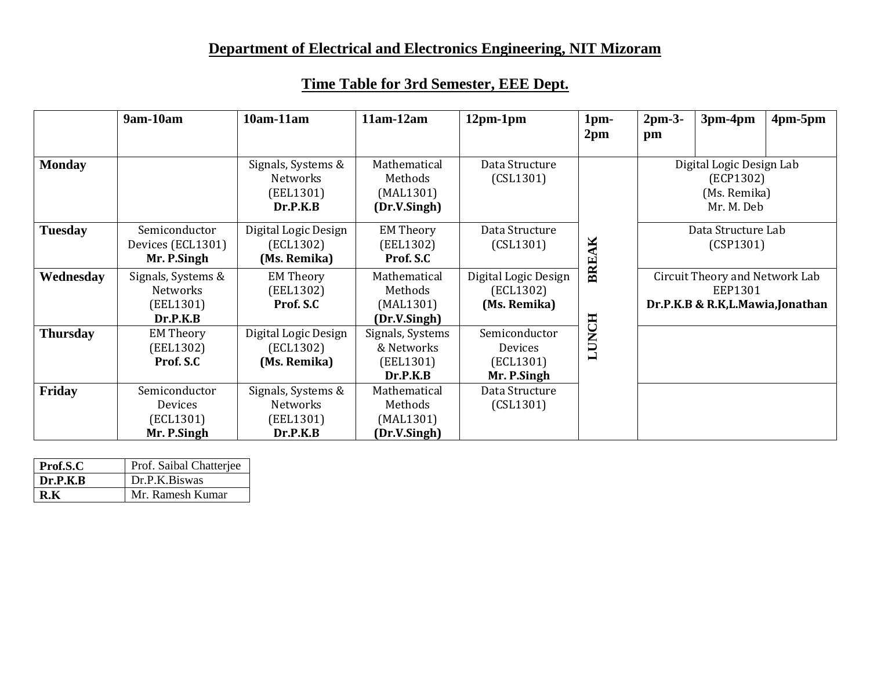# **Department of Electrical and Electronics Engineering, NIT Mizoram**

|                 | 9am-10am           | $10am-11am$          | $11am-12am$      | $12pm-1pm$           | 1pm-            | $2pm-3-$                 | 3pm-4pm                         | $4pm-5pm$ |
|-----------------|--------------------|----------------------|------------------|----------------------|-----------------|--------------------------|---------------------------------|-----------|
|                 |                    |                      |                  |                      | 2 <sub>pm</sub> | pm                       |                                 |           |
|                 |                    |                      |                  |                      |                 |                          |                                 |           |
| <b>Monday</b>   |                    | Signals, Systems &   | Mathematical     | Data Structure       |                 | Digital Logic Design Lab |                                 |           |
|                 |                    | Networks             | Methods          | (CSL1301)            |                 |                          | (ECP1302)                       |           |
|                 |                    | (EEL1301)            | (MAL1301)        |                      |                 |                          | (Ms. Remika)                    |           |
|                 |                    | Dr.P.K.B             | (Dr.V.Singh)     |                      |                 |                          | Mr. M. Deb                      |           |
| <b>Tuesday</b>  | Semiconductor      | Digital Logic Design | <b>EM Theory</b> | Data Structure       |                 |                          | Data Structure Lab              |           |
|                 | Devices (ECL1301)  | (ECL1302)            | (EEL1302)        | (CSL1301)            |                 |                          | (CSP1301)                       |           |
|                 | Mr. P.Singh        | (Ms. Remika)         | Prof. S.C        |                      | BREAK           |                          |                                 |           |
| Wednesday       | Signals, Systems & | <b>EM Theory</b>     | Mathematical     | Digital Logic Design |                 |                          | Circuit Theory and Network Lab  |           |
|                 | Networks           | (EEL1302)            | Methods          | (ECL1302)            |                 |                          | EEP1301                         |           |
|                 | (EEL1301)          | Prof. S.C            | (MAL1301)        | (Ms. Remika)         |                 |                          | Dr.P.K.B & R.K,L.Mawia,Jonathan |           |
|                 | Dr.P.K.B           |                      | (Dr.V.Singh)     |                      |                 |                          |                                 |           |
| <b>Thursday</b> | <b>EM Theory</b>   | Digital Logic Design | Signals, Systems | Semiconductor        | <b>LUNCH</b>    |                          |                                 |           |
|                 | (EEL1302)          | (ECL1302)            | & Networks       | Devices              |                 |                          |                                 |           |
|                 | Prof. S.C          | (Ms. Remika)         | (EEL1301)        | (ECL1301)            |                 |                          |                                 |           |
|                 |                    |                      | Dr.P.K.B         | Mr. P.Singh          |                 |                          |                                 |           |
| Friday          | Semiconductor      | Signals, Systems &   | Mathematical     | Data Structure       |                 |                          |                                 |           |
|                 | Devices            | Networks             | Methods          | (CSL1301)            |                 |                          |                                 |           |
|                 | (ECL1301)          | (EEL1301)            | (MAL1301)        |                      |                 |                          |                                 |           |
|                 | Mr. P.Singh        | Dr.P.K.B             | (Dr.V.Singh)     |                      |                 |                          |                                 |           |

| Prof.S.C | Prof. Saibal Chatterjee |
|----------|-------------------------|
| Dr.P.K.B | Dr.P.K.Biswas           |
| R K      | Mr. Ramesh Kumar        |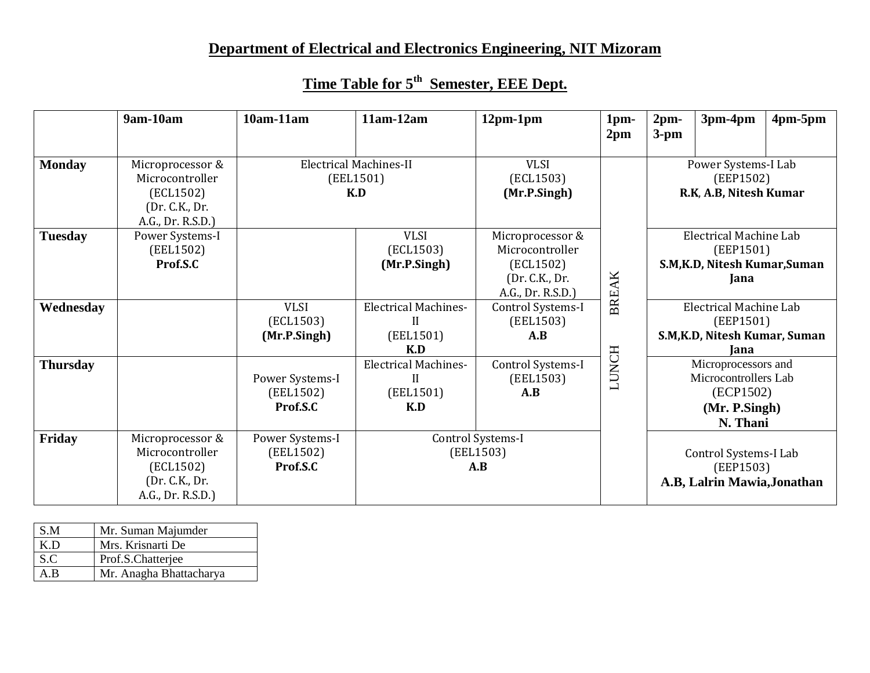# **Department of Electrical and Electronics Engineering, NIT Mizoram**

|                 | 9am-10am                                                                                | $10am-11am$                              | $11am-12am$                                                     | $12pm-1pm$                                                         | 1pm-<br>2 <sub>pm</sub> | 2 <sub>pm</sub><br>$3-pm$                                                                                                                                                                                                                         | 3pm-4pm                                                    | $4pm-5pm$ |
|-----------------|-----------------------------------------------------------------------------------------|------------------------------------------|-----------------------------------------------------------------|--------------------------------------------------------------------|-------------------------|---------------------------------------------------------------------------------------------------------------------------------------------------------------------------------------------------------------------------------------------------|------------------------------------------------------------|-----------|
|                 |                                                                                         |                                          |                                                                 |                                                                    |                         |                                                                                                                                                                                                                                                   |                                                            |           |
| <b>Monday</b>   | Microprocessor &<br>Microcontroller<br>(ECL1502)                                        |                                          | <b>Electrical Machines-II</b><br>(EEL1501)<br>K.D               | <b>VLSI</b><br>(ECL1503)<br>(Mr.P.Singh)                           |                         |                                                                                                                                                                                                                                                   | Power Systems-I Lab<br>(EEP1502)<br>R.K, A.B, Nitesh Kumar |           |
|                 | (Dr. C.K., Dr.<br>A.G., Dr. R.S.D.)                                                     |                                          |                                                                 |                                                                    |                         |                                                                                                                                                                                                                                                   |                                                            |           |
| <b>Tuesday</b>  | Power Systems-I<br>(EEL1502)<br>Prof.S.C                                                |                                          | <b>VLSI</b><br>(ECL1503)<br>(Mr.P.Singh)                        | Microprocessor &<br>Microcontroller<br>(ECL1502)<br>(Dr. C.K., Dr. |                         | Electrical Machine Lab<br>(EEP1501)<br>S.M, K.D, Nitesh Kumar, Suman<br>Jana                                                                                                                                                                      |                                                            |           |
| Wednesday       |                                                                                         | <b>VLSI</b><br>(ECL1503)                 | <b>Electrical Machines-</b><br>$\mathbf{I}$                     | A.G., Dr. R.S.D.)<br>Control Systems-I<br>(EEL1503)                | <b>BREAK</b>            | <b>Electrical Machine Lab</b><br>(EEP1501)<br>S.M, K.D, Nitesh Kumar, Suman<br>Jana<br>Microprocessors and<br>Microcontrollers Lab<br>(ECP1502)<br>(Mr. P.Singh)<br>N. Thani<br>Control Systems-I Lab<br>(EEP1503)<br>A.B, Lalrin Mawia, Jonathan |                                                            |           |
|                 |                                                                                         | (Mr.P.Singh)                             | (EEL1501)<br>K.D                                                | A.B                                                                |                         |                                                                                                                                                                                                                                                   |                                                            |           |
| <b>Thursday</b> |                                                                                         | Power Systems-I<br>(EEL1502)<br>Prof.S.C | <b>Electrical Machines-</b><br>$\mathbf{I}$<br>(EEL1501)<br>K.D | Control Systems-I<br>(EEL1503)<br>A.B                              | <b>LUNCH</b>            |                                                                                                                                                                                                                                                   |                                                            |           |
| Friday          | Microprocessor &<br>Microcontroller<br>(ECL1502)<br>(Dr. C.K., Dr.<br>A.G., Dr. R.S.D.) | Power Systems-I<br>(EEL1502)<br>Prof.S.C |                                                                 | Control Systems-I<br>(EEL1503)<br>A.B                              |                         |                                                                                                                                                                                                                                                   |                                                            |           |

## **Time Table for 5th Semester, EEE Dept.**

| S.M | Mr. Suman Majumder      |
|-----|-------------------------|
| K.D | Mrs. Krisnarti De       |
| S.C | Prof.S.Chatterjee       |
| A.B | Mr. Anagha Bhattacharya |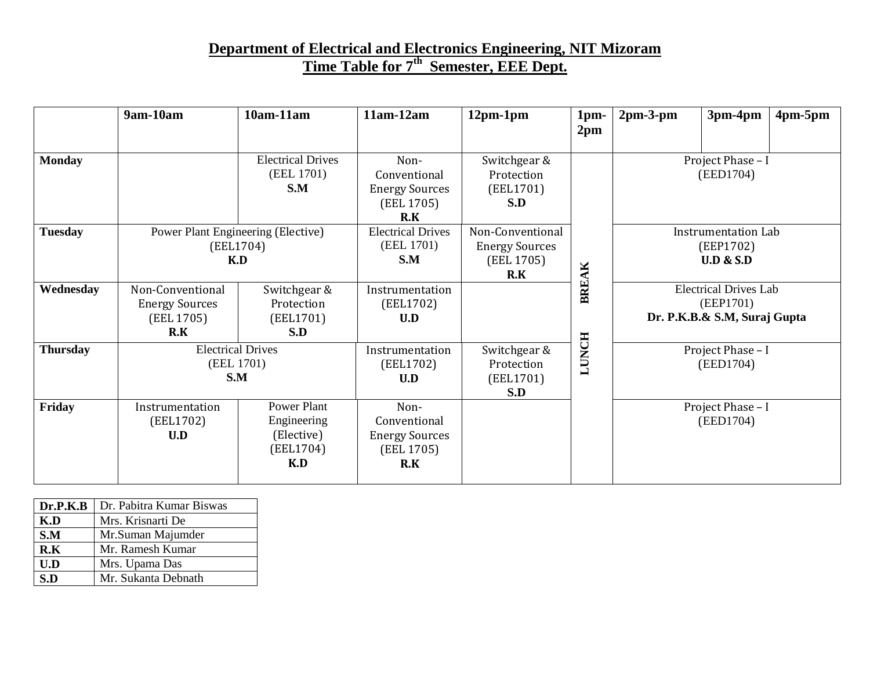### **Department of Electrical and Electronics Engineering, NIT Mizoram Time Table for 7th Semester, EEE Dept.**

|                 | 9am-10am                                                       | 10am-11am                                                    | $11am-12am$                                                        | $12pm-1pm$                                                     | 1 <sub>pm</sub> | $2pm-3-pm$                     | 3pm-4pm                                                                   | $4pm-5pm$ |
|-----------------|----------------------------------------------------------------|--------------------------------------------------------------|--------------------------------------------------------------------|----------------------------------------------------------------|-----------------|--------------------------------|---------------------------------------------------------------------------|-----------|
|                 |                                                                |                                                              |                                                                    |                                                                | 2 <sub>pm</sub> |                                |                                                                           |           |
| <b>Monday</b>   |                                                                | <b>Electrical Drives</b><br>(EEL 1701)<br>S.M                | Non-<br>Conventional<br><b>Energy Sources</b><br>(EEL 1705)<br>R.K | Switchgear &<br>Protection<br>(EEL1701)<br>S.D                 |                 | Project Phase - I<br>(EED1704) |                                                                           |           |
| <b>Tuesday</b>  | Power Plant Engineering (Elective)<br>(EEL1704)<br>K.D         |                                                              | <b>Electrical Drives</b><br>(EEL 1701)<br>S.M                      | Non-Conventional<br><b>Energy Sources</b><br>(EEL 1705)<br>R.K |                 |                                | <b>Instrumentation Lab</b><br>(EEP1702)<br><b>U.D &amp; S.D</b>           |           |
| Wednesday       | Non-Conventional<br><b>Energy Sources</b><br>(EEL 1705)<br>R.K | Switchgear &<br>Protection<br>(EEL1701)<br>S.D               | Instrumentation<br>(EEL1702)<br>U.D                                |                                                                | BREAK           |                                | <b>Electrical Drives Lab</b><br>(EEP1701)<br>Dr. P.K.B.& S.M, Suraj Gupta |           |
| <b>Thursday</b> | <b>Electrical Drives</b><br>(EEL 1701)<br>S.M                  |                                                              | Instrumentation<br>(EEL1702)<br>U.D                                | Switchgear &<br>Protection<br>(EEL1701)<br>S.D                 | LUNCH           | Project Phase - I<br>(EED1704) |                                                                           |           |
| Friday          | Instrumentation<br>(EEL1702)<br>U.D                            | Power Plant<br>Engineering<br>(Elective)<br>(EEL1704)<br>K.D | Non-<br>Conventional<br><b>Energy Sources</b><br>(EEL 1705)<br>R.K |                                                                |                 |                                | Project Phase - I<br>(EED1704)                                            |           |

| Dr.P.K.B | Dr. Pabitra Kumar Biswas |
|----------|--------------------------|
| K.D      | Mrs. Krisnarti De        |
| S.M      | Mr.Suman Majumder        |
| R.K      | Mr. Ramesh Kumar         |
| U.D      | Mrs. Upama Das           |
| S.D      | Mr. Sukanta Debnath      |